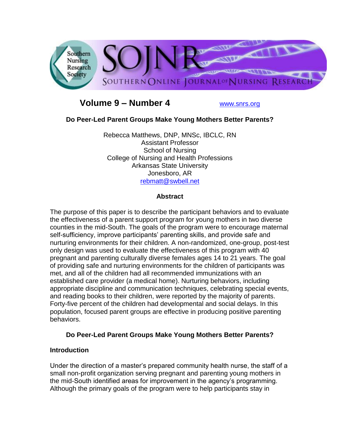

# **Volume 9 – Number 4** [www.snrs.org](http://www.snrs.org/)

# **Do Peer-Led Parent Groups Make Young Mothers Better Parents?**

Rebecca Matthews, DNP, MNSc, IBCLC, RN Assistant Professor School of Nursing College of Nursing and Health Professions Arkansas State University Jonesboro, AR [rebmatt@swbell.net](mailto:rebmatt@swbell.net)

# **Abstract**

The purpose of this paper is to describe the participant behaviors and to evaluate the effectiveness of a parent support program for young mothers in two diverse counties in the mid-South. The goals of the program were to encourage maternal self-sufficiency, improve participants' parenting skills, and provide safe and nurturing environments for their children. A non-randomized, one-group, post-test only design was used to evaluate the effectiveness of this program with 40 pregnant and parenting culturally diverse females ages 14 to 21 years. The goal of providing safe and nurturing environments for the children of participants was met, and all of the children had all recommended immunizations with an established care provider (a medical home). Nurturing behaviors, including appropriate discipline and communication techniques, celebrating special events, and reading books to their children, were reported by the majority of parents. Forty-five percent of the children had developmental and social delays. In this population, focused parent groups are effective in producing positive parenting behaviors.

#### **Do Peer-Led Parent Groups Make Young Mothers Better Parents?**

#### **Introduction**

Under the direction of a master's prepared community health nurse, the staff of a small non-profit organization serving pregnant and parenting young mothers in the mid-South identified areas for improvement in the agency's programming. Although the primary goals of the program were to help participants stay in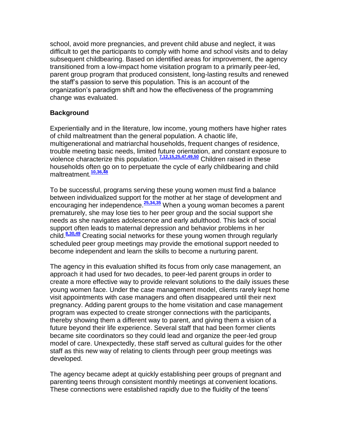school, avoid more pregnancies, and prevent child abuse and neglect, it was difficult to get the participants to comply with home and school visits and to delay subsequent childbearing. Based on identified areas for improvement, the agency transitioned from a low-impact home visitation program to a primarily peer-led, parent group program that produced consistent, long-lasting results and renewed the staff's passion to serve this population. This is an account of the organization's paradigm shift and how the effectiveness of the programming change was evaluated.

# **Background**

Experientially and in the literature, low income, young mothers have higher rates of child maltreatment than the general population. A chaotic life, multigenerational and matriarchal households, frequent changes of residence, trouble meeting basic needs, limited future orientation, and constant exposure to violence characterize this population.**[7,12,15,25,47,49,50](http://snrs.org/publications/SOJNR_articles2/n)** Children raised in these households often go on to perpetuate the cycle of early childbearing and child maltreatment.<sup>10,36,4</sup>

To be successful, programs serving these young women must find a balance between individualized support for the mother at her stage of development and encouraging her independence.**[25,34,35](http://snrs.org/publications/SOJNR_articles2/n)** When a young woman becomes a parent prematurely, she may lose ties to her peer group and the social support she needs as she navigates adolescence and early adulthood. This lack of social support often leads to maternal depression and behavior problems in her child.**[8,30,49](http://snrs.org/publications/SOJNR_articles2/n)** Creating social networks for these young women through regularly scheduled peer group meetings may provide the emotional support needed to become independent and learn the skills to become a nurturing parent.

The agency in this evaluation shifted its focus from only case management, an approach it had used for two decades, to peer-led parent groups in order to create a more effective way to provide relevant solutions to the daily issues these young women face. Under the case management model, clients rarely kept home visit appointments with case managers and often disappeared until their next pregnancy. Adding parent groups to the home visitation and case management program was expected to create stronger connections with the participants, thereby showing them a different way to parent, and giving them a vision of a future beyond their life experience. Several staff that had been former clients became site coordinators so they could lead and organize the peer-led group model of care. Unexpectedly, these staff served as cultural guides for the other staff as this new way of relating to clients through peer group meetings was developed.

The agency became adept at quickly establishing peer groups of pregnant and parenting teens through consistent monthly meetings at convenient locations. These connections were established rapidly due to the fluidity of the teens'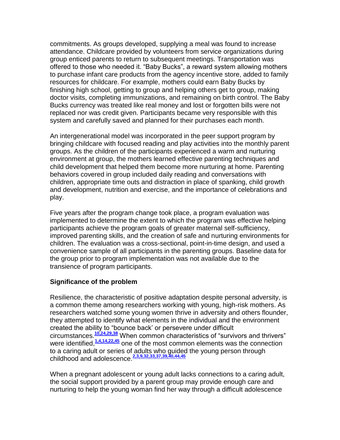commitments. As groups developed, supplying a meal was found to increase attendance. Childcare provided by volunteers from service organizations during group enticed parents to return to subsequent meetings. Transportation was offered to those who needed it. "Baby Bucks", a reward system allowing mothers to purchase infant care products from the agency incentive store, added to family resources for childcare. For example, mothers could earn Baby Bucks by finishing high school, getting to group and helping others get to group, making doctor visits, completing immunizations, and remaining on birth control. The Baby Bucks currency was treated like real money and lost or forgotten bills were not replaced nor was credit given. Participants became very responsible with this system and carefully saved and planned for their purchases each month.

An intergenerational model was incorporated in the peer support program by bringing childcare with focused reading and play activities into the monthly parent groups. As the children of the participants experienced a warm and nurturing environment at group, the mothers learned effective parenting techniques and child development that helped them become more nurturing at home. Parenting behaviors covered in group included daily reading and conversations with children, appropriate time outs and distraction in place of spanking, child growth and development, nutrition and exercise, and the importance of celebrations and play.

Five years after the program change took place, a program evaluation was implemented to determine the extent to which the program was effective helping participants achieve the program goals of greater maternal self-sufficiency, improved parenting skills, and the creation of safe and nurturing environments for children. The evaluation was a cross-sectional, point-in-time design, and used a convenience sample of all participants in the parenting groups. Baseline data for the group prior to program implementation was not available due to the transience of program participants.

#### **Significance of the problem**

Resilience, the characteristic of positive adaptation despite personal adversity, is a common theme among researchers working with young, high-risk mothers. As researchers watched some young women thrive in adversity and others flounder, they attempted to identify what elements in the individual and the environment created the ability to "bounce back' or persevere under difficult circumstances.**[10,24,29,38](http://snrs.org/publications/SOJNR_articles2/n)** When common characteristics of "survivors and thrivers" were identified,<sup>[1,4,14,22,45](http://snrs.org/publications/SOJNR_articles2/n)</sup> one of the most common elements was the connection to a caring adult or series of adults who guided the young person through childhood and adolescence.**[2,3,9,32,33,37,39,40,44,45](http://snrs.org/publications/SOJNR_articles2/n)**

When a pregnant adolescent or young adult lacks connections to a caring adult, the social support provided by a parent group may provide enough care and nurturing to help the young woman find her way through a difficult adolescence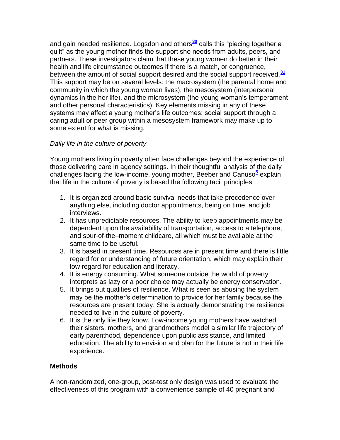and gain needed resilience. Logsdon and others**[30](http://snrs.org/publications/SOJNR_articles2/n)** calls this "piecing together a quilt" as the young mother finds the support she needs from adults, peers, and partners. These investigators claim that these young women do better in their health and life circumstance outcomes if there is a match, or congruence, between the amount of social support desired and the social support received.**[31](http://snrs.org/publications/SOJNR_articles2/n)** This support may be on several levels: the macrosystem (the parental home and community in which the young woman lives), the mesosystem (interpersonal dynamics in the her life), and the microsystem (the young woman's temperament and other personal characteristics). Key elements missing in any of these systems may affect a young mother's life outcomes; social support through a caring adult or peer group within a mesosystem framework may make up to some extent for what is missing.

# *Daily life in the culture of poverty*

Young mothers living in poverty often face challenges beyond the experience of those delivering care in agency settings. In their thoughtful analysis of the daily challenges facing the low-income, young mother, Beeber and Canuso<sup>[5](http://snrs.org/publications/SOJNR_articles2/n)</sup> explain that life in the culture of poverty is based the following tacit principles:

- 1. It is organized around basic survival needs that take precedence over anything else, including doctor appointments, being on time, and job interviews.
- 2. It has unpredictable resources. The ability to keep appointments may be dependent upon the availability of transportation, access to a telephone, and spur-of-the–moment childcare, all which must be available at the same time to be useful.
- 3. It is based in present time. Resources are in present time and there is little regard for or understanding of future orientation, which may explain their low regard for education and literacy.
- 4. It is energy consuming. What someone outside the world of poverty interprets as lazy or a poor choice may actually be energy conservation.
- 5. It brings out qualities of resilience. What is seen as abusing the system may be the mother's determination to provide for her family because the resources are present today. She is actually demonstrating the resilience needed to live in the culture of poverty.
- 6. It is the only life they know. Low-income young mothers have watched their sisters, mothers, and grandmothers model a similar life trajectory of early parenthood, dependence upon public assistance, and limited education. The ability to envision and plan for the future is not in their life experience.

# **Methods**

A non-randomized, one-group, post-test only design was used to evaluate the effectiveness of this program with a convenience sample of 40 pregnant and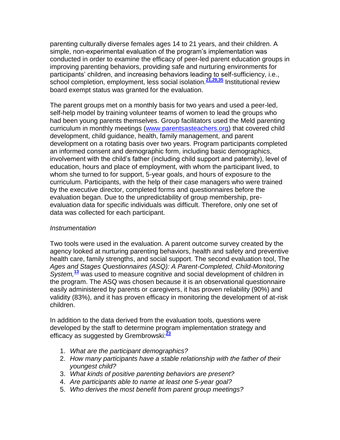parenting culturally diverse females ages 14 to 21 years, and their children. A simple, non-experimental evaluation of the program's implementation was conducted in order to examine the efficacy of peer-led parent education groups in improving parenting behaviors, providing safe and nurturing environments for participants' children, and increasing behaviors leading to self-sufficiency, i.e., school completion, employment, less social isolation.**[21,29,35](http://snrs.org/publications/SOJNR_articles2/n)** Institutional review board exempt status was granted for the evaluation.

The parent groups met on a monthly basis for two years and used a peer-led, self-help model by training volunteer teams of women to lead the groups who had been young parents themselves. Group facilitators used the Meld parenting curriculum in monthly meetings [\(www.parentsasteachers.org\)](http://www.parentsasteachers.org/) that covered child development, child guidance, health, family management, and parent development on a rotating basis over two years. Program participants completed an informed consent and demographic form, including basic demographics, involvement with the child's father (including child support and paternity), level of education, hours and place of employment, with whom the participant lived, to whom she turned to for support, 5-year goals, and hours of exposure to the curriculum. Participants, with the help of their case managers who were trained by the executive director, completed forms and questionnaires before the evaluation began. Due to the unpredictability of group membership, preevaluation data for specific individuals was difficult. Therefore, only one set of data was collected for each participant.

#### *Instrumentation*

Two tools were used in the evaluation. A parent outcome survey created by the agency looked at nurturing parenting behaviors, health and safety and preventive health care, family strengths, and social support. The second evaluation tool, The *Ages and Stages Questionnaires (ASQ): A Parent-Completed, Child-Monitoring System,***[13](http://snrs.org/publications/SOJNR_articles2/n)** was used to measure cognitive and social development of children in the program. The ASQ was chosen because it is an observational questionnaire easily administered by parents or caregivers, it has proven reliability (90%) and validity (83%), and it has proven efficacy in monitoring the development of at-risk children.

In addition to the data derived from the evaluation tools, questions were developed by the staff to determine program implementation strategy and efficacy as suggested by Grembrowski:**[23](http://snrs.org/publications/SOJNR_articles2/n)**

- 1. *What are the participant demographics?*
- 2. *How many participants have a stable relationship with the father of their youngest child?*
- 3. *What kinds of positive parenting behaviors are present?*
- 4. *Are participants able to name at least one 5-year goal?*
- 5. *Who derives the most benefit from parent group meetings?*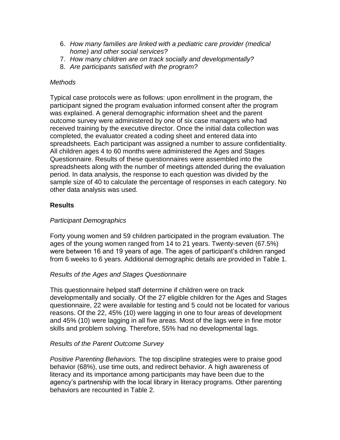- 6. *How many families are linked with a pediatric care provider (medical home) and other social services?*
- 7. *How many children are on track socially and developmentally?*
- 8. *Are participants satisfied with the program?*

#### *Methods*

Typical case protocols were as follows: upon enrollment in the program, the participant signed the program evaluation informed consent after the program was explained. A general demographic information sheet and the parent outcome survey were administered by one of six case managers who had received training by the executive director. Once the initial data collection was completed, the evaluator created a coding sheet and entered data into spreadsheets. Each participant was assigned a number to assure confidentiality. All children ages 4 to 60 months were administered the Ages and Stages Questionnaire. Results of these questionnaires were assembled into the spreadsheets along with the number of meetings attended during the evaluation period. In data analysis, the response to each question was divided by the sample size of 40 to calculate the percentage of responses in each category. No other data analysis was used.

# **Results**

# *Participant Demographics*

Forty young women and 59 children participated in the program evaluation. The ages of the young women ranged from 14 to 21 years. Twenty-seven (67.5%) were between 16 and 19 years of age. The ages of participant's children ranged from 6 weeks to 6 years. Additional demographic details are provided in Table 1.

#### *Results of the Ages and Stages Questionnaire*

This questionnaire helped staff determine if children were on track developmentally and socially. Of the 27 eligible children for the Ages and Stages questionnaire, 22 were available for testing and 5 could not be located for various reasons. Of the 22, 45% (10) were lagging in one to four areas of development and 45% (10) were lagging in all five areas. Most of the lags were in fine motor skills and problem solving. Therefore, 55% had no developmental lags.

#### *Results of the Parent Outcome Survey*

*Positive Parenting Behaviors.* The top discipline strategies were to praise good behavior (68%), use time outs, and redirect behavior. A high awareness of literacy and its importance among participants may have been due to the agency's partnership with the local library in literacy programs. Other parenting behaviors are recounted in Table 2.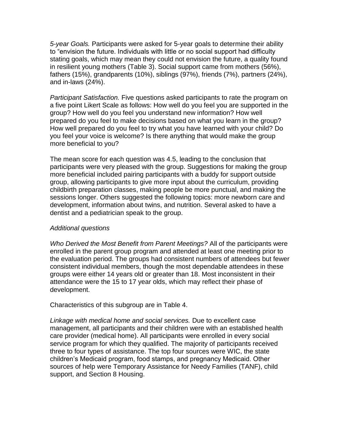*5-year Goals.* Participants were asked for 5-year goals to determine their ability to "envision the future. Individuals with little or no social support had difficulty stating goals, which may mean they could not envision the future, a quality found in resilient young mothers (Table 3). Social support came from mothers (56%), fathers (15%), grandparents (10%), siblings (97%), friends (7%), partners (24%), and in-laws (24%).

*Participant Satisfaction.* Five questions asked participants to rate the program on a five point Likert Scale as follows: How well do you feel you are supported in the group? How well do you feel you understand new information? How well prepared do you feel to make decisions based on what you learn in the group? How well prepared do you feel to try what you have learned with your child? Do you feel your voice is welcome? Is there anything that would make the group more beneficial to you?

The mean score for each question was 4.5, leading to the conclusion that participants were very pleased with the group. Suggestions for making the group more beneficial included pairing participants with a buddy for support outside group, allowing participants to give more input about the curriculum, providing childbirth preparation classes, making people be more punctual, and making the sessions longer. Others suggested the following topics: more newborn care and development, information about twins, and nutrition. Several asked to have a dentist and a pediatrician speak to the group.

#### *Additional questions*

*Who Derived the Most Benefit from Parent Meetings?* All of the participants were enrolled in the parent group program and attended at least one meeting prior to the evaluation period. The groups had consistent numbers of attendees but fewer consistent individual members, though the most dependable attendees in these groups were either 14 years old or greater than 18. Most inconsistent in their attendance were the 15 to 17 year olds, which may reflect their phase of development.

Characteristics of this subgroup are in Table 4.

*Linkage with medical home and social services.* Due to excellent case management, all participants and their children were with an established health care provider (medical home). All participants were enrolled in every social service program for which they qualified. The majority of participants received three to four types of assistance. The top four sources were WIC, the state children's Medicaid program, food stamps, and pregnancy Medicaid. Other sources of help were Temporary Assistance for Needy Families (TANF), child support, and Section 8 Housing.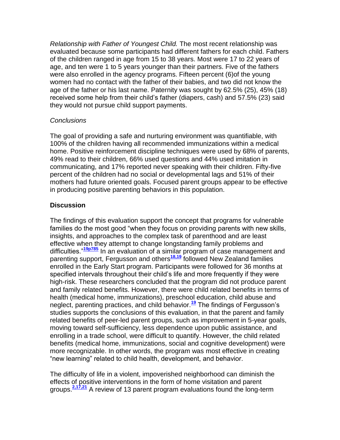*Relationship with Father of Youngest Child.* The most recent relationship was evaluated because some participants had different fathers for each child. Fathers of the children ranged in age from 15 to 38 years. Most were 17 to 22 years of age, and ten were 1 to 5 years younger than their partners. Five of the fathers were also enrolled in the agency programs. Fifteen percent (6)of the young women had no contact with the father of their babies, and two did not know the age of the father or his last name. Paternity was sought by 62.5% (25), 45% (18) received some help from their child's father (diapers, cash) and 57.5% (23) said they would not pursue child support payments.

#### *Conclusions*

The goal of providing a safe and nurturing environment was quantifiable, with 100% of the children having all recommended immunizations within a medical home. Positive reinforcement discipline techniques were used by 68% of parents, 49% read to their children, 66% used questions and 44% used imitation in communicating, and 17% reported never speaking with their children. Fifty-five percent of the children had no social or developmental lags and 51% of their mothers had future oriented goals. Focused parent groups appear to be effective in producing positive parenting behaviors in this population.

# **Discussion**

The findings of this evaluation support the concept that programs for vulnerable families do the most good "when they focus on providing parents with new skills, insights, and approaches to the complex task of parenthood and are least effective when they attempt to change longstanding family problems and difficulties."**[19p785](http://snrs.org/publications/SOJNR_articles2/n)** In an evaluation of a similar program of case management and parenting support, Fergusson and others**[18,19](http://snrs.org/publications/SOJNR_articles2/n)** followed New Zealand families enrolled in the Early Start program. Participants were followed for 36 months at specified intervals throughout their child's life and more frequently if they were high-risk. These researchers concluded that the program did not produce parent and family related benefits. However, there were child related benefits in terms of health (medical home, immunizations), preschool education, child abuse and neglect, parenting practices, and child behavior.**[19](http://snrs.org/publications/SOJNR_articles2/n)** The findings of Fergusson's studies supports the conclusions of this evaluation, in that the parent and family related benefits of peer-led parent groups, such as improvement in 5-year goals, moving toward self-sufficiency, less dependence upon public assistance, and enrolling in a trade school, were difficult to quantify. However, the child related benefits (medical home, immunizations, social and cognitive development) were more recognizable. In other words, the program was most effective in creating "new learning" related to child health, development, and behavior.

The difficulty of life in a violent, impoverished neighborhood can diminish the effects of positive interventions in the form of home visitation and parent groups. **[2,17,21](http://snrs.org/publications/SOJNR_articles2/n)** A review of 13 parent program evaluations found the long-term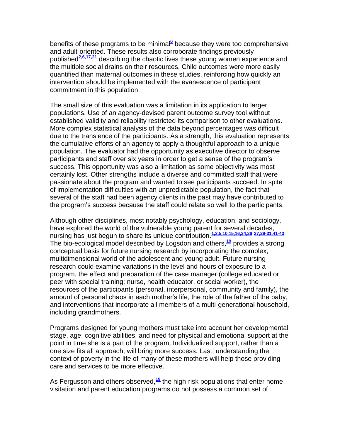benefits of these programs to be minimal<sup>[6](http://snrs.org/publications/SOJNR_articles2/n)</sup> because they were too comprehensive and adult-oriented. These results also corroborate findings previously published**[2,6,17,21](http://snrs.org/publications/SOJNR_articles2/n)** describing the chaotic lives these young women experience and the multiple social drains on their resources. Child outcomes were more easily quantified than maternal outcomes in these studies, reinforcing how quickly an intervention should be implemented with the evanescence of participant commitment in this population.

The small size of this evaluation was a limitation in its application to larger populations. Use of an agency-devised parent outcome survey tool without established validity and reliability restricted its comparison to other evaluations. More complex statistical analysis of the data beyond percentages was difficult due to the transience of the participants. As a strength, this evaluation represents the cumulative efforts of an agency to apply a thoughtful approach to a unique population. The evaluator had the opportunity as executive director to observe participants and staff over six years in order to get a sense of the program's success. This opportunity was also a limitation as some objectivity was most certainly lost. Other strengths include a diverse and committed staff that were passionate about the program and wanted to see participants succeed. In spite of implementation difficulties with an unpredictable population, the fact that several of the staff had been agency clients in the past may have contributed to the program's success because the staff could relate so well to the participants.

Although other disciplines, most notably psychology, education, and sociology, have explored the world of the vulnerable young parent for several decades, nursing has just begun to share its unique contribution.**[1,2,5,10,15,16,24,26](http://snrs.org/publications/SOJNR_articles2/n) [27,29-31,41-43](http://snrs.org/publications/SOJNR_articles2/n)** The bio-ecological model described by Logsdon and others,**[19](http://snrs.org/publications/SOJNR_articles2/n)** provides a strong conceptual basis for future nursing research by incorporating the complex, multidimensional world of the adolescent and young adult. Future nursing research could examine variations in the level and hours of exposure to a program, the effect and preparation of the case manager (college educated or peer with special training; nurse, health educator, or social worker), the resources of the participants (personal, interpersonal, community and family), the amount of personal chaos in each mother's life, the role of the father of the baby, and interventions that incorporate all members of a multi-generational household, including grandmothers.

Programs designed for young mothers must take into account her developmental stage, age, cognitive abilities, and need for physical and emotional support at the point in time she is a part of the program. Individualized support, rather than a one size fits all approach, will bring more success. Last, understanding the context of poverty in the life of many of these mothers will help those providing care and services to be more effective.

As Fergusson and others observed,<sup>[19](http://snrs.org/publications/SOJNR_articles2/n)</sup> the high-risk populations that enter home visitation and parent education programs do not possess a common set of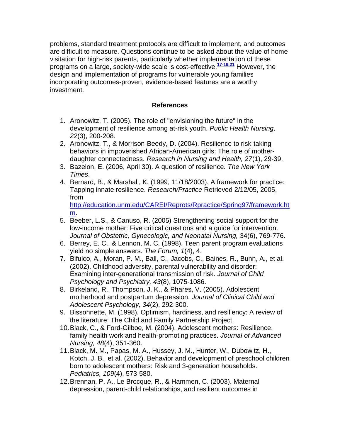problems, standard treatment protocols are difficult to implement, and outcomes are difficult to measure. Questions continue to be asked about the value of home visitation for high-risk parents, particularly whether implementation of these programs on a large, society-wide scale is cost-effective.**[17-19,21](http://snrs.org/publications/SOJNR_articles2/n)** However, the design and implementation of programs for vulnerable young families incorporating outcomes-proven, evidence-based features are a worthy investment.

# **References**

- 1. Aronowitz, T. (2005). The role of "envisioning the future" in the development of resilience among at-risk youth. *Public Health Nursing, 22*(3), 200-208.
- 2. Aronowitz, T., & Morrison-Beedy, D. (2004). Resilience to risk-taking behaviors in impoverished African-American girls: The role of motherdaughter connectedness. *Research in Nursing and Health, 27*(1), 29-39.
- 3. Bazelon, E. (2006, April 30). A question of resilience*. The New York Times*.
- 4. Bernard, B., & Marshall, K. (1999, 11/18/2003). A framework for practice: Tapping innate resilience. *Research/Practice* Retrieved 2/12/05, 2005, from [http://education.unm.edu/CAREI/Reprots/Rpractice/Spring97/framework.ht](http://education.unm.edu/CAREI/Reprots/Rpractice/Spring97/framework.htm)

[m.](http://education.unm.edu/CAREI/Reprots/Rpractice/Spring97/framework.htm)

- 5. Beeber, L.S., & Canuso, R. (2005) Strengthening social support for the low-income mother: Five critical questions and a guide for intervention. *Journal of Obstetric, Gynecologic, and Neonatal Nursing,* 34(6), 769-776.
- 6. Berrey, E. C., & Lennon, M. C. (1998). Teen parent program evaluations yield no simple answers. *The Forum, 1*(4), 4.
- 7. Bifulco, A., Moran, P. M., Ball, C., Jacobs, C., Baines, R., Bunn, A., et al. (2002). Childhood adversity, parental vulnerability and disorder: Examining inter-generational transmission of risk. *Journal of Child Psychology and Psychiatry, 43*(8), 1075-1086.
- 8. Birkeland, R., Thompson, J. K., & Phares, V. (2005). Adolescent motherhood and postpartum depression. *Journal of Clinical Child and Adolescent Psychology, 34*(2), 292-300.
- 9. Bissonnette, M. (1998). Optimism, hardiness, and resiliency: A review of the literature: The Child and Family Partnership Project.
- 10.Black, C., & Ford-Gilboe, M. (2004). Adolescent mothers: Resilience, family health work and health-promoting practices. *Journal of Advanced Nursing, 48*(4), 351-360.
- 11.Black, M. M., Papas, M. A., Hussey, J. M., Hunter, W., Dubowitz, H., Kotch, J. B., et al. (2002). Behavior and development of preschool children born to adolescent mothers: Risk and 3-generation households. *Pediatrics, 109*(4), 573-580.
- 12.Brennan, P. A., Le Brocque, R., & Hammen, C. (2003). Maternal depression, parent-child relationships, and resilient outcomes in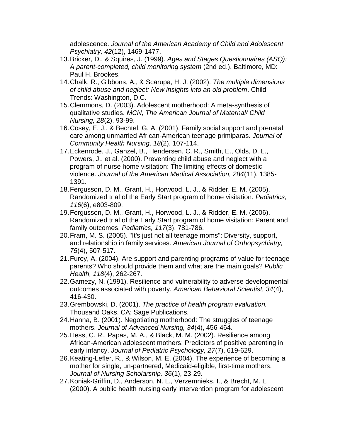adolescence. *Journal of the American Academy of Child and Adolescent Psychiatry, 42*(12), 1469-1477.

- 13.Bricker, D., & Squires, J. (1999). *Ages and Stages Questionnaires (ASQ): A parent-completed, child monitoring system* (2nd ed.). Baltimore, MD: Paul H. Brookes.
- 14.Chalk, R., Gibbons, A., & Scarupa, H. J. (2002). *The multiple dimensions of child abuse and neglect: New insights into an old problem*. Child Trends: Washington, D.C.
- 15.Clemmons, D. (2003). Adolescent motherhood: A meta-synthesis of qualitative studies. *MCN, The American Journal of Maternal/ Child Nursing, 28*(2), 93-99.
- 16.Cosey, E. J., & Bechtel, G. A. (2001). Family social support and prenatal care among unmarried African-American teenage primiparas. *Journal of Community Health Nursing, 18*(2), 107-114.
- 17.Eckenrode, J., Ganzel, B., Hendersen, C. R., Smith, E., Olds, D. L., Powers, J., et al. (2000). Preventing child abuse and neglect with a program of nurse home visitation: The limiting effects of domestic violence. *Journal of the American Medical Association, 284*(11), 1385- 1391.
- 18.Fergusson, D. M., Grant, H., Horwood, L. J., & Ridder, E. M. (2005). Randomized trial of the Early Start program of home visitation. *Pediatrics, 116*(6), e803-809.
- 19.Fergusson, D. M., Grant, H., Horwood, L. J., & Ridder, E. M. (2006). Randomized trial of the Early Start program of home visitation: Parent and family outcomes. *Pediatrics, 117*(3), 781-786.
- 20.Fram, M. S. (2005). "It's just not all teenage moms": Diversity, support, and relationship in family services. *American Journal of Orthopsychiatry, 75*(4), 507-517.
- 21.Furey, A. (2004). Are support and parenting programs of value for teenage parents? Who should provide them and what are the main goals? *Public Health, 118*(4), 262-267.
- 22.Gamezy, N. (1991). Resilience and vulnerability to adverse developmental outcomes associated with poverty. *American Behavioral Scientist, 34*(4), 416-430.
- 23.Grembowski, D. (2001). *The practice of health program evaluation.*  Thousand Oaks, CA: Sage Publications.
- 24.Hanna, B. (2001). Negotiating motherhood: The struggles of teenage mothers. *Journal of Advanced Nursing, 34*(4), 456-464.
- 25.Hess, C. R., Papas, M. A., & Black, M. M. (2002). Resilience among African-American adolescent mothers: Predictors of positive parenting in early infancy. *Journal of Pediatric Psychology, 27*(7), 619-629.
- 26.Keating-Lefler, R., & Wilson, M. E. (2004). The experience of becoming a mother for single, un-partnered, Medicaid-eligible, first-time mothers. *Journal of Nursing Scholarship, 36*(1), 23-29.
- 27.Koniak-Griffin, D., Anderson, N. L., Verzemnieks, I., & Brecht, M. L. (2000). A public health nursing early intervention program for adolescent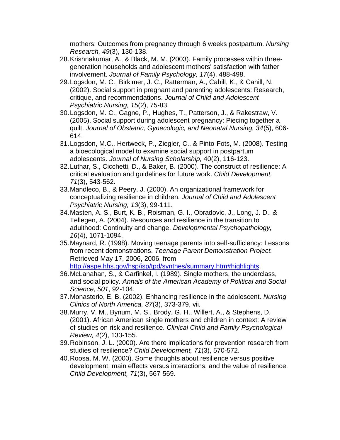mothers: Outcomes from pregnancy through 6 weeks postpartum. *Nursing Research, 49*(3), 130-138.

- 28.Krishnakumar, A., & Black, M. M. (2003). Family processes within threegeneration households and adolescent mothers' satisfaction with father involvement. *Journal of Family Psychology, 17*(4), 488-498.
- 29.Logsdon, M. C., Birkimer, J. C., Ratterman, A., Cahill, K., & Cahill, N. (2002). Social support in pregnant and parenting adolescents: Research, critique, and recommendations. *Journal of Child and Adolescent Psychiatric Nursing, 15*(2), 75-83.
- 30.Logsdon, M. C., Gagne, P., Hughes, T., Patterson, J., & Rakestraw, V. (2005). Social support during adolescent pregnancy: Piecing together a quilt. *Journal of Obstetric, Gynecologic, and Neonatal Nursing, 34*(5), 606- 614.
- 31.Logsdon, M.C., Hertweck, P., Ziegler, C., & Pinto-Fots, M. (2008). Testing a bioecological model to examine social support in postpartum adolescents. *Journal of Nursing Scholarship,* 40(2), 116-123.
- 32.Luthar, S., Cicchetti, D., & Baker, B. (2000). The construct of resilience: A critical evaluation and guidelines for future work. *Child Development, 71*(3), 543-562.
- 33.Mandleco, B., & Peery, J. (2000). An organizational framework for conceptualizing resilience in children. *Journal of Child and Adolescent Psychiatric Nursing, 13*(3), 99-111.
- 34.Masten, A. S., Burt, K. B., Roisman, G. I., Obradovic, J., Long, J. D., & Tellegen, A. (2004). Resources and resilience in the transition to adulthood: Continuity and change. *Developmental Psychopathology, 16*(4), 1071-1094.
- 35.Maynard, R. (1998). Moving teenage parents into self-sufficiency: Lessons from recent demonstrations. *Teenage Parent Demonstration Project.* Retrieved May 17, 2006, 2006, from [http://aspe.hhs.gov/hsp/isp/tpd/synthes/summary.htm#highlights.](http://aspe.hhs.gov/hsp/isp/tpd/synthes/summary.htm#highlights)
- 36.McLanahan, S., & Garfinkel, I. (1989). Single mothers, the underclass, and social policy. *Annals of the American Academy of Political and Social Science, 501*, 92-104.
- 37.Monasterio, E. B. (2002). Enhancing resilience in the adolescent. *Nursing Clinics of North America, 37*(3), 373-379, vii.
- 38.Murry, V. M., Bynum, M. S., Brody, G. H., Willert, A., & Stephens, D. (2001). African American single mothers and children in context: A review of studies on risk and resilience. *Clinical Child and Family Psychological Review, 4*(2), 133-155.
- 39.Robinson, J. L. (2000). Are there implications for prevention research from studies of resilience? *Child Development, 71*(3), 570-572.
- 40.Roosa, M. W. (2000). Some thoughts about resilience versus positive development, main effects versus interactions, and the value of resilience. *Child Development, 71*(3), 567-569.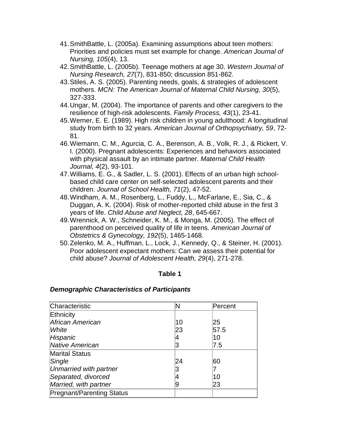- 41.SmithBattle, L. (2005a). Examining assumptions about teen mothers: Priorities and policies must set example for change. *American Journal of Nursing, 105*(4), 13.
- 42.SmithBattle, L. (2005b). Teenage mothers at age 30. *Western Journal of Nursing Research, 27*(7), 831-850; discussion 851-862.
- 43.Stiles, A. S. (2005). Parenting needs, goals, & strategies of adolescent mothers. *MCN: The American Journal of Maternal Child Nursing, 30*(5), 327-333.
- 44.Ungar, M. (2004). The importance of parents and other caregivers to the resilience of high-risk adolescents. *Family Process, 43*(1), 23-41.
- 45.Werner, E. E. (1989). High risk children in young adulthood: A longitudinal study from birth to 32 years. *American Journal of Orthopsychiatry, 59*, 72- 81.
- 46.Wiemann, C. M., Agurcia, C. A., Berenson, A. B., Volk, R. J., & Rickert, V. I. (2000). Pregnant adolescents: Experiences and behaviors associated with physical assault by an intimate partner. *Maternal Child Health Journal, 4*(2), 93-101.
- 47.Williams, E. G., & Sadler, L. S. (2001). Effects of an urban high schoolbased child care center on self-selected adolescent parents and their children. *Journal of School Health, 71*(2), 47-52.
- 48.Windham, A. M., Rosenberg, L., Fuddy, L., McFarlane, E., Sia, C., & Duggan, A. K. (2004). Risk of mother-reported child abuse in the first 3 years of life. *Child Abuse and Neglect, 28*, 645-667.
- 49.Wrennick, A. W., Schneider, K. M., & Monga, M. (2005). The effect of parenthood on perceived quality of life in teens. *American Journal of Obstetrics & Gynecology, 192*(5), 1465-1468.
- 50.Zelenko, M. A., Huffman, L., Lock, J., Kennedy, Q., & Steiner, H. (2001). Poor adolescent expectant mothers: Can we assess their potential for child abuse? *Journal of Adolescent Health, 29*(4), 271-278.

#### **Table 1**

#### *Demographic Characteristics of Participants*

| Characteristic                   | N  | Percent |
|----------------------------------|----|---------|
| Ethnicity                        |    |         |
| African American                 | 10 | 25      |
| White                            | 23 | 57.5    |
| Hispanic                         | 4  | 10      |
| <b>Native American</b>           | 3  | 7.5     |
| <b>Marital Status</b>            |    |         |
| Single                           | 24 | 60      |
| Unmarried with partner           | 3  |         |
| Separated, divorced              |    | 10      |
| Married, with partner            | 9  | 23      |
| <b>Pregnant/Parenting Status</b> |    |         |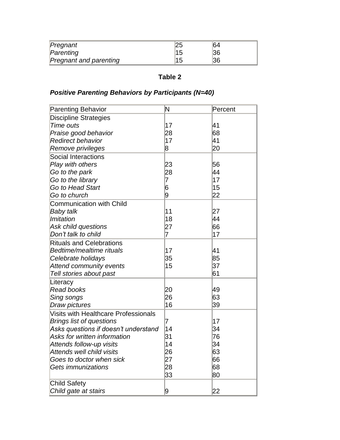| Pregnant                      | 25 | 64 |  |
|-------------------------------|----|----|--|
| Parenting                     | 15 | 36 |  |
| <b>Pregnant and parenting</b> | 15 | 36 |  |

# **Table 2**

# *Positive Parenting Behaviors by Participants (N=40)*

| <b>Parenting Behavior</b>                   | N              | Percent |
|---------------------------------------------|----------------|---------|
| <b>Discipline Strategies</b>                |                |         |
| Time outs                                   | 17             | 41      |
| Praise good behavior                        | 28             | 68      |
| <b>Redirect behavior</b>                    | 17             | 41      |
| Remove privileges                           | 8              | 20      |
| <b>Social Interactions</b>                  |                |         |
| Play with others                            | 23             | 56      |
| Go to the park                              | 28             | 44      |
| Go to the library                           | 7              | 17      |
| Go to Head Start                            | 6              | 15      |
| Go to church                                | 9              | 22      |
| <b>Communication with Child</b>             |                |         |
| <b>Baby talk</b>                            | 11             | 27      |
| <b>Imitation</b>                            | 18             | 44      |
| Ask child questions                         | 27             | 66      |
| Don't talk to child                         | $\overline{7}$ | 17      |
| <b>Rituals and Celebrations</b>             |                |         |
| Bedtime/mealtime rituals                    | 17             | 41      |
| Celebrate holidays                          | 35             | 85      |
| <b>Attend community events</b>              | 15             | 37      |
| Tell stories about past                     |                | 61      |
| Literacy                                    |                |         |
| <b>Read books</b>                           | 20             | 49      |
| Sing songs                                  | 26             | 63      |
| Draw pictures                               | 16             | 39      |
| <b>Visits with Healthcare Professionals</b> |                |         |
| <b>Brings list of questions</b>             | 7              | 17      |
| Asks questions if doesn't understand        | 14             | 34      |
| Asks for written information                | 31             | 76      |
| Attends follow-up visits                    | 14             | 34      |
| Attends well child visits                   | 26             | 63      |
| Goes to doctor when sick                    | 27             | 66      |
| Gets immunizations                          | 28             | 68      |
|                                             | 33             | 80      |
| <b>Child Safety</b>                         |                |         |
| Child gate at stairs                        | 9              | 22      |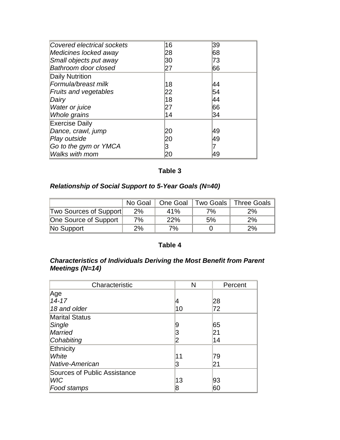| Covered electrical sockets   | 16 | 39 |  |
|------------------------------|----|----|--|
| Medicines locked away        | 28 | 68 |  |
| Small objects put away       | 30 | 73 |  |
| Bathroom door closed         | 27 | 66 |  |
| <b>Daily Nutrition</b>       |    |    |  |
| Formula/breast milk          | 18 | 44 |  |
| <b>Fruits and vegetables</b> | 22 | 54 |  |
| Dairy                        | 18 | 44 |  |
| Water or juice               | 27 | 66 |  |
| Whole grains                 | 14 | 34 |  |
| <b>Exercise Daily</b>        |    |    |  |
| Dance, crawl, jump           | 20 | 49 |  |
| Play outside                 | 20 | 49 |  |
| Go to the gym or YMCA        | 3  |    |  |
| Walks with mom               | 20 | 49 |  |

# **Table 3**

# *Relationship of Social Support to 5-Year Goals (N=40)*

|                        | No Goal | One Goal |    | Two Goals   Three Goals |
|------------------------|---------|----------|----|-------------------------|
| Two Sources of Support | 2%      | 41%      | 7% | 2%                      |
| One Source of Support  | 7%      | 22%      | 5% | 2%                      |
| No Support             | 2%      | 7%       |    | 2%                      |

# **Table 4**

# *Characteristics of Individuals Deriving the Most Benefit from Parent Meetings (N=14)*

| Characteristic                      | N  | Percent |
|-------------------------------------|----|---------|
| Age                                 |    |         |
| $14 - 17$                           | 14 | 28      |
| 18 and older                        | 10 | 72      |
| <b>Marital Status</b>               |    |         |
| Single                              | 9  | 65      |
| <b>Married</b>                      | З  | 21      |
| Cohabiting                          | 2  | 14      |
| Ethnicity                           |    |         |
| White                               | 11 | 79      |
| Native-American                     | 3  | 21      |
| <b>Sources of Public Assistance</b> |    |         |
| <b>WIC</b>                          | 13 | 93      |
| Food stamps                         | 8  | 60      |